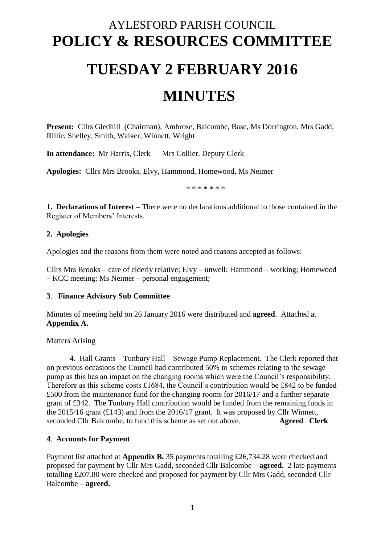# AYLESFORD PARISH COUNCIL **POLICY & RESOURCES COMMITTEE TUESDAY 2 FEBRUARY 2016 MINUTES**

**Present:** Cllrs Gledhill (Chairman), Ambrose, Balcombe, Base, Ms Dorrington, Mrs Gadd, Rillie, Shelley, Smith, Walker, Winnett, Wright

**In attendance:** Mr Harris, Clerk Mrs Collier, Deputy Clerk

**Apologies:** Cllrs Mrs Brooks, Elvy, Hammond, Homewood, Ms Neimer

\* \* \* \* \* \* \*

**1. Declarations of Interest –** There were no declarations additional to those contained in the Register of Members' Interests.

#### **2. Apologies**

Apologies and the reasons from them were noted and reasons accepted as follows:

Cllrs Mrs Brooks – care of elderly relative; Elvy – unwell; Hammond – working; Homewood – KCC meeting; Ms Neimer – personal engagement;

#### **3**. **Finance Advisory Sub Committee**

Minutes of meeting held on 26 January 2016 were distributed and **agreed**. Attached at **Appendix A.**

Matters Arising

4. Hall Grants – Tunbury Hall – Sewage Pump Replacement. The Clerk reported that on previous occasions the Council had contributed 50% to schemes relating to the sewage pump as this has an impact on the changing rooms which were the Council's responsibility. Therefore as this scheme costs £1684, the Council's contribution would be £842 to be funded £500 from the maintenance fund for the changing rooms for 2016/17 and a further separate grant of £342. The Tunbury Hall contribution would be funded from the remaining funds in the 2015/16 grant (£143) and from the 2016/17 grant. It was proposed by Cllr Winnett, seconded Cllr Balcombe, to fund this scheme as set out above. **Agreed Clerk** 

#### **4**. **Accounts for Payment**

Payment list attached at **Appendix B.** 35 payments totalling £26,734.28 were checked and proposed for payment by Cllr Mrs Gadd, seconded Cllr Balcombe – **agreed.** 2 late payments totalling £207.80 were checked and proposed for payment by Cllr Mrs Gadd, seconded Cllr Balcombe – **agreed.**